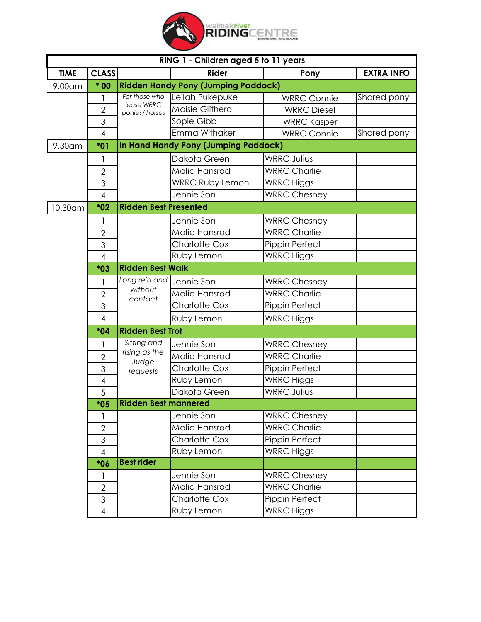

| RING 1 - Children aged 5 to 11 years |                                                     |                              |                                      |                     |                   |  |
|--------------------------------------|-----------------------------------------------------|------------------------------|--------------------------------------|---------------------|-------------------|--|
| <b>TIME</b>                          | <b>CLASS</b>                                        |                              | <b>Rider</b>                         | Pony                | <b>EXTRA INFO</b> |  |
| 9.00am                               | <b>Ridden Handy Pony (Jumping Paddock)</b><br>$*00$ |                              |                                      |                     |                   |  |
|                                      |                                                     | For those who                | Leilah Pukepuke                      | <b>WRRC Connie</b>  | Shared pony       |  |
|                                      | $\overline{2}$                                      | lease WRRC<br>ponies/horses  | Maisie Glithero                      | <b>WRRC Diesel</b>  |                   |  |
|                                      | 3                                                   |                              | Sopie Gibb                           | <b>WRRC Kasper</b>  |                   |  |
|                                      | $\overline{4}$                                      |                              | Emma Withaker                        | <b>WRRC Connie</b>  | Shared pony       |  |
| 9.30am                               | $*01$                                               |                              | In Hand Handy Pony (Jumping Paddock) |                     |                   |  |
|                                      |                                                     |                              | Dakota Green                         | <b>WRRC Julius</b>  |                   |  |
|                                      | $\overline{2}$                                      |                              | Malia Hansrod                        | <b>WRRC Charlie</b> |                   |  |
|                                      | 3                                                   |                              | <b>WRRC Ruby Lemon</b>               | <b>WRRC Higgs</b>   |                   |  |
|                                      | $\overline{4}$                                      |                              | Jennie Son                           | <b>WRRC Chesney</b> |                   |  |
| 10.30am                              | $*02$                                               | <b>Ridden Best Presented</b> |                                      |                     |                   |  |
|                                      | 1                                                   |                              | Jennie Son                           | <b>WRRC Chesney</b> |                   |  |
|                                      | $\overline{2}$                                      |                              | Malia Hansrod                        | <b>WRRC Charlie</b> |                   |  |
|                                      | 3                                                   |                              | <b>Charlotte Cox</b>                 | Pippin Perfect      |                   |  |
|                                      | $\overline{4}$                                      |                              | Ruby Lemon                           | <b>WRRC Higgs</b>   |                   |  |
|                                      | $*03$                                               | <b>Ridden Best Walk</b>      |                                      |                     |                   |  |
|                                      | 1                                                   | Long rein and                | Jennie Son                           | <b>WRRC Chesney</b> |                   |  |
|                                      | $\overline{2}$                                      | without<br>contact           | Malia Hansrod                        | <b>WRRC Charlie</b> |                   |  |
|                                      | 3                                                   |                              | <b>Charlotte Cox</b>                 | Pippin Perfect      |                   |  |
|                                      | $\overline{4}$                                      |                              | Ruby Lemon                           | <b>WRRC Higgs</b>   |                   |  |
|                                      | *04                                                 | <b>Ridden Best Trot</b>      |                                      |                     |                   |  |
|                                      |                                                     | Sitting and                  | Jennie Son                           | <b>WRRC Chesney</b> |                   |  |
|                                      | $\overline{2}$                                      | rising as the                | Malia Hansrod                        | <b>WRRC Charlie</b> |                   |  |
|                                      | 3                                                   | Judge<br>requests            | Charlotte Cox                        | Pippin Perfect      |                   |  |
|                                      | 4                                                   |                              | Ruby Lemon                           | <b>WRRC Higgs</b>   |                   |  |
|                                      | 5                                                   |                              | Dakota Green                         | <b>WRRC Julius</b>  |                   |  |
| <b>Ridden Best mannered</b><br>$*05$ |                                                     |                              |                                      |                     |                   |  |
|                                      | 1                                                   |                              | Jennie Son                           | <b>WRRC Chesney</b> |                   |  |
|                                      | $\overline{2}$                                      |                              | Malia Hansrod                        | <b>WRRC Charlie</b> |                   |  |
|                                      | 3                                                   |                              | Charlotte Cox                        | Pippin Perfect      |                   |  |
|                                      | $\overline{4}$                                      |                              | Ruby Lemon                           | <b>WRRC</b> Higgs   |                   |  |
|                                      | *06                                                 | <b>Best rider</b>            |                                      |                     |                   |  |
|                                      |                                                     |                              | Jennie Son                           | <b>WRRC Chesney</b> |                   |  |
|                                      | $\overline{2}$                                      |                              | Malia Hansrod                        | <b>WRRC Charlie</b> |                   |  |
|                                      | 3                                                   |                              | Charlotte Cox                        | Pippin Perfect      |                   |  |
|                                      | $\overline{\mathcal{A}}$                            |                              | Ruby Lemon                           | <b>WRRC Higgs</b>   |                   |  |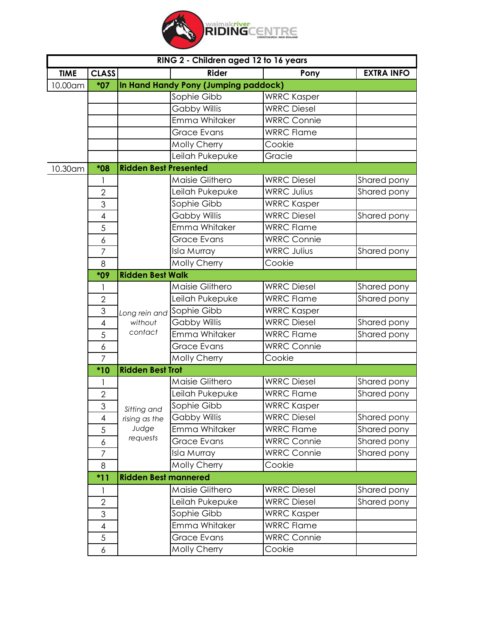

| RING 2 - Children aged 12 to 16 years |                                               |                              |                           |                    |                   |  |
|---------------------------------------|-----------------------------------------------|------------------------------|---------------------------|--------------------|-------------------|--|
| <b>TIME</b>                           | <b>CLASS</b>                                  |                              | <b>Rider</b>              | Pony               | <b>EXTRA INFO</b> |  |
| 10.00am                               | In Hand Handy Pony (Jumping paddock)<br>$*07$ |                              |                           |                    |                   |  |
|                                       |                                               |                              | Sophie Gibb               | <b>WRRC Kasper</b> |                   |  |
|                                       |                                               |                              | <b>Gabby Willis</b>       | <b>WRRC Diesel</b> |                   |  |
|                                       |                                               |                              | Emma Whitaker             | <b>WRRC Connie</b> |                   |  |
|                                       |                                               |                              | Grace Evans               | <b>WRRC Flame</b>  |                   |  |
|                                       |                                               |                              | Molly Cherry              | Cookie             |                   |  |
|                                       |                                               |                              | Leilah Pukepuke           | Gracie             |                   |  |
| 10.30am                               | *08                                           | <b>Ridden Best Presented</b> |                           |                    |                   |  |
|                                       |                                               |                              | Maisie Glithero           | <b>WRRC Diesel</b> | Shared pony       |  |
|                                       | $\overline{2}$                                |                              | Leilah Pukepuke           | <b>WRRC Julius</b> | Shared pony       |  |
|                                       | 3                                             |                              | Sophie Gibb               | <b>WRRC Kasper</b> |                   |  |
|                                       | $\overline{4}$                                |                              | <b>Gabby Willis</b>       | <b>WRRC Diesel</b> | Shared pony       |  |
|                                       | 5                                             |                              | Emma Whitaker             | <b>WRRC Flame</b>  |                   |  |
|                                       | 6                                             |                              | <b>Grace Evans</b>        | <b>WRRC Connie</b> |                   |  |
|                                       | $\overline{7}$                                |                              | Isla Murray               | <b>WRRC Julius</b> | Shared pony       |  |
|                                       | 8                                             |                              | Molly Cherry              | Cookie             |                   |  |
|                                       | *09                                           | <b>Ridden Best Walk</b>      |                           |                    |                   |  |
|                                       |                                               |                              | Maisie Glithero           | <b>WRRC Diesel</b> | Shared pony       |  |
|                                       | $\overline{2}$                                |                              | Leilah Pukepuke           | <b>WRRC Flame</b>  | Shared pony       |  |
|                                       | 3                                             |                              | Long rein and Sophie Gibb | <b>WRRC Kasper</b> |                   |  |
|                                       | $\overline{4}$                                | without                      | <b>Gabby Willis</b>       | <b>WRRC Diesel</b> | Shared pony       |  |
|                                       | 5                                             | contact                      | Emma Whitaker             | <b>WRRC Flame</b>  | Shared pony       |  |
|                                       | 6                                             |                              | <b>Grace Evans</b>        | <b>WRRC Connie</b> |                   |  |
|                                       | $\overline{7}$                                |                              | Molly Cherry              | Cookie             |                   |  |
|                                       | $*10$                                         | <b>Ridden Best Trot</b>      |                           |                    |                   |  |
|                                       |                                               |                              | Maisie Glithero           | <b>WRRC Diesel</b> | Shared pony       |  |
|                                       | $\overline{2}$                                |                              | Leilah Pukepuke           | <b>WRRC Flame</b>  | Shared pony       |  |
|                                       | 3                                             | Sitting and                  | Sophie Gibb               | <b>WRRC Kasper</b> |                   |  |
|                                       | 4                                             | rising as the                | <b>Gabby Willis</b>       | <b>WRRC Diesel</b> | Shared pony       |  |
|                                       | 5                                             | Judge                        | Emma Whitaker             | <b>WRRC Flame</b>  | Shared pony       |  |
|                                       | 6                                             | requests                     | <b>Grace Evans</b>        | <b>WRRC Connie</b> | Shared pony       |  |
|                                       | $\overline{7}$                                |                              | <b>Isla Murray</b>        | <b>WRRC Connie</b> | Shared pony       |  |
|                                       | 8                                             |                              | <b>Molly Cherry</b>       | Cookie             |                   |  |
|                                       | <b>Ridden Best mannered</b><br>$*11$          |                              |                           |                    |                   |  |
|                                       |                                               |                              | Maisie Glithero           | <b>WRRC Diesel</b> | Shared pony       |  |
|                                       | $\overline{2}$                                |                              | Leilah Pukepuke           | <b>WRRC Diesel</b> | Shared pony       |  |
|                                       | 3                                             |                              | Sophie Gibb               | <b>WRRC Kasper</b> |                   |  |
|                                       | 4                                             |                              | Emma Whitaker             | <b>WRRC Flame</b>  |                   |  |
|                                       | 5                                             |                              | <b>Grace Evans</b>        | <b>WRRC Connie</b> |                   |  |
|                                       | 6                                             |                              | Molly Cherry              | Cookie             |                   |  |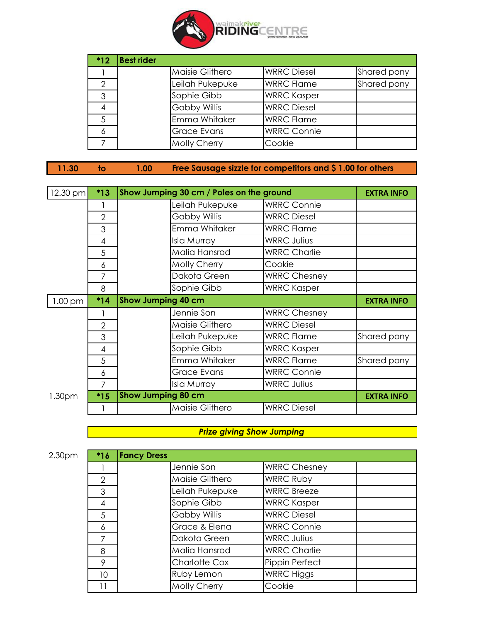

| $*12$ | <b>Best rider</b> |                     |                    |             |
|-------|-------------------|---------------------|--------------------|-------------|
|       |                   | Maisie Glithero     | <b>WRRC Diesel</b> | Shared pony |
| 2     |                   | Leilah Pukepuke     | <b>WRRC Flame</b>  | Shared pony |
| 3     |                   | Sophie Gibb         | <b>WRRC Kasper</b> |             |
| 4     |                   | <b>Gabby Willis</b> | <b>WRRC Diesel</b> |             |
| 5     |                   | Emma Whitaker       | <b>WRRC Flame</b>  |             |
| 6     |                   | <b>Grace Evans</b>  | <b>WRRC Connie</b> |             |
|       |                   | Molly Cherry        | Cookie             |             |

| 11.30 |  | $1.00\%$ | <b>Free Sausage sizzle for competitors and \$1.00 for others</b> |
|-------|--|----------|------------------------------------------------------------------|
|-------|--|----------|------------------------------------------------------------------|

| 12.30 pm | $*13$          | Show Jumping 30 cm / Poles on the ground |                     |                     | <b>EXTRA INFO</b> |
|----------|----------------|------------------------------------------|---------------------|---------------------|-------------------|
|          |                |                                          | Leilah Pukepuke     | <b>WRRC Connie</b>  |                   |
|          | $\overline{2}$ |                                          | <b>Gabby Willis</b> | <b>WRRC Diesel</b>  |                   |
|          | 3              |                                          | Emma Whitaker       | <b>WRRC Flame</b>   |                   |
|          | 4              |                                          | Isla Murray         | <b>WRRC Julius</b>  |                   |
|          | 5              |                                          | Malia Hansrod       | <b>WRRC Charlie</b> |                   |
|          | 6              |                                          | Molly Cherry        | Cookie              |                   |
|          | 7              |                                          | Dakota Green        | <b>WRRC Chesney</b> |                   |
|          | 8              |                                          | Sophie Gibb         | <b>WRRC Kasper</b>  |                   |
| 1.00 pm  | $*14$          | Show Jumping 40 cm                       |                     |                     | <b>EXTRA INFO</b> |
|          |                |                                          | Jennie Son          | <b>WRRC Chesney</b> |                   |
|          | $\overline{2}$ |                                          | Maisie Glithero     | <b>WRRC Diesel</b>  |                   |
|          | 3              |                                          | Leilah Pukepuke     | <b>WRRC Flame</b>   | Shared pony       |
|          | 4              |                                          | Sophie Gibb         | <b>WRRC Kasper</b>  |                   |
|          | 5              |                                          | Emma Whitaker       | <b>WRRC Flame</b>   | Shared pony       |
|          | 6              |                                          | <b>Grace Evans</b>  | <b>WRRC Connie</b>  |                   |
|          | 7              |                                          | Isla Murray         | <b>WRRC Julius</b>  |                   |
| 1.30pm   | $*15$          | <b>Show Jumping 80 cm</b>                |                     |                     | <b>EXTRA INFO</b> |
|          |                |                                          | Maisie Glithero     | <b>WRRC Diesel</b>  |                   |

## *Prize giving Show Jumping*

2.30pm **\*16**

| $*16$ | <b>Fancy Dress</b> |                      |                     |  |
|-------|--------------------|----------------------|---------------------|--|
|       |                    | Jennie Son           | <b>WRRC Chesney</b> |  |
| 2     |                    | Maisie Glithero      | <b>WRRC Ruby</b>    |  |
| 3     |                    | Leilah Pukepuke      | <b>WRRC Breeze</b>  |  |
| 4     |                    | Sophie Gibb          | <b>WRRC Kasper</b>  |  |
| 5     |                    | <b>Gabby Willis</b>  | <b>WRRC Diesel</b>  |  |
| 6     |                    | Grace & Elena        | <b>WRRC Connie</b>  |  |
|       |                    | Dakota Green         | <b>WRRC Julius</b>  |  |
| 8     |                    | Malia Hansrod        | <b>WRRC Charlie</b> |  |
| 9     |                    | <b>Charlotte Cox</b> | Pippin Perfect      |  |
| 10    |                    | Ruby Lemon           | <b>WRRC Higgs</b>   |  |
|       |                    | Molly Cherry         | Cookie              |  |